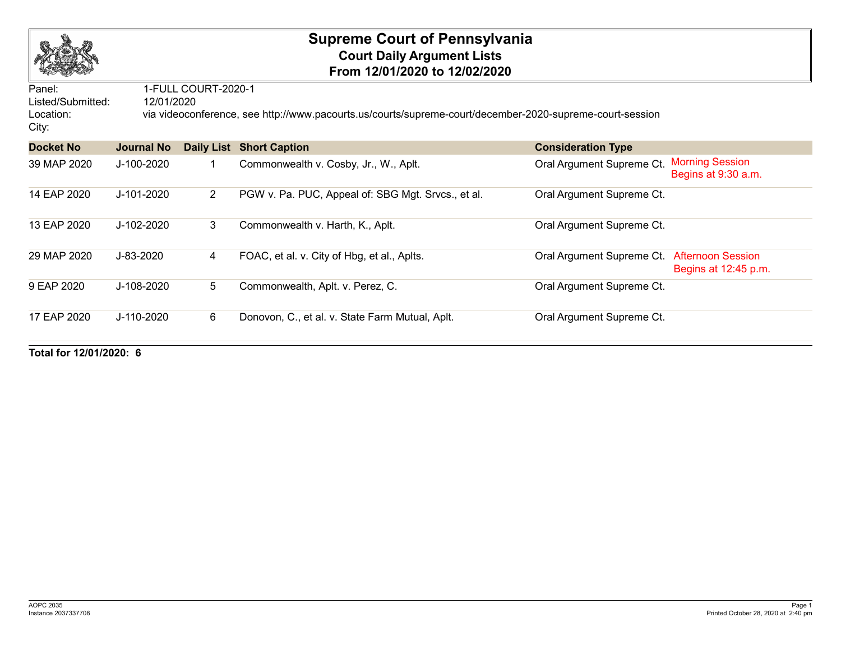

## **Supreme Court of Pennsylvania Court Daily Argument Lists From 12/01/2020 to 12/02/2020**

| Panel:             | 1-FULL COURT-2020-1<br>12/01/2020                                                                        |                |                                                    |                           |                                                  |  |  |  |  |
|--------------------|----------------------------------------------------------------------------------------------------------|----------------|----------------------------------------------------|---------------------------|--------------------------------------------------|--|--|--|--|
| Listed/Submitted:  |                                                                                                          |                |                                                    |                           |                                                  |  |  |  |  |
| Location:<br>City: | via videoconference, see http://www.pacourts.us/courts/supreme-court/december-2020-supreme-court-session |                |                                                    |                           |                                                  |  |  |  |  |
| <b>Docket No</b>   | <b>Journal No</b>                                                                                        |                | <b>Daily List Short Caption</b>                    | <b>Consideration Type</b> |                                                  |  |  |  |  |
| 39 MAP 2020        | J-100-2020                                                                                               |                | Commonwealth v. Cosby, Jr., W., Aplt.              | Oral Argument Supreme Ct. | <b>Morning Session</b><br>Begins at 9:30 a.m.    |  |  |  |  |
| 14 EAP 2020        | J-101-2020                                                                                               | $\overline{2}$ | PGW v. Pa. PUC, Appeal of: SBG Mgt. Srvcs., et al. | Oral Argument Supreme Ct. |                                                  |  |  |  |  |
| 13 EAP 2020        | J-102-2020                                                                                               | 3              | Commonwealth v. Harth, K., Aplt.                   | Oral Argument Supreme Ct. |                                                  |  |  |  |  |
| 29 MAP 2020        | J-83-2020                                                                                                | 4              | FOAC, et al. v. City of Hbg, et al., Aplts.        | Oral Argument Supreme Ct. | <b>Afternoon Session</b><br>Begins at 12:45 p.m. |  |  |  |  |
| 9 EAP 2020         | J-108-2020                                                                                               | 5              | Commonwealth, Aplt. v. Perez, C.                   | Oral Argument Supreme Ct. |                                                  |  |  |  |  |
| 17 EAP 2020        | J-110-2020                                                                                               | 6              | Donovon, C., et al. v. State Farm Mutual, Aplt.    | Oral Argument Supreme Ct. |                                                  |  |  |  |  |

**Total for 12/01/2020: 6**